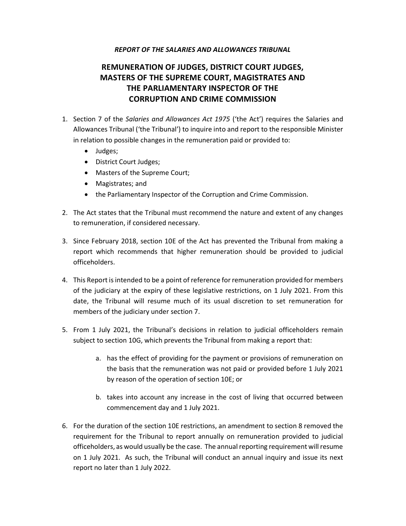### REPORT OF THE SALARIES AND ALLOWANCES TRIBUNAL

# REMUNERATION OF JUDGES, DISTRICT COURT JUDGES, MASTERS OF THE SUPREME COURT, MAGISTRATES AND THE PARLIAMENTARY INSPECTOR OF THE CORRUPTION AND CRIME COMMISSION

- 1. Section 7 of the Salaries and Allowances Act 1975 ('the Act') requires the Salaries and Allowances Tribunal ('the Tribunal') to inquire into and report to the responsible Minister in relation to possible changes in the remuneration paid or provided to:
	- Judges;
	- District Court Judges;
	- Masters of the Supreme Court;
	- Magistrates; and
	- the Parliamentary Inspector of the Corruption and Crime Commission.
- 2. The Act states that the Tribunal must recommend the nature and extent of any changes to remuneration, if considered necessary.
- 3. Since February 2018, section 10E of the Act has prevented the Tribunal from making a report which recommends that higher remuneration should be provided to judicial officeholders.
- 4. This Report is intended to be a point of reference for remuneration provided for members of the judiciary at the expiry of these legislative restrictions, on 1 July 2021. From this date, the Tribunal will resume much of its usual discretion to set remuneration for members of the judiciary under section 7.
- 5. From 1 July 2021, the Tribunal's decisions in relation to judicial officeholders remain subject to section 10G, which prevents the Tribunal from making a report that:
	- a. has the effect of providing for the payment or provisions of remuneration on the basis that the remuneration was not paid or provided before 1 July 2021 by reason of the operation of section 10E; or
	- b. takes into account any increase in the cost of living that occurred between commencement day and 1 July 2021.
- 6. For the duration of the section 10E restrictions, an amendment to section 8 removed the requirement for the Tribunal to report annually on remuneration provided to judicial officeholders, as would usually be the case. The annual reporting requirement will resume on 1 July 2021. As such, the Tribunal will conduct an annual inquiry and issue its next report no later than 1 July 2022.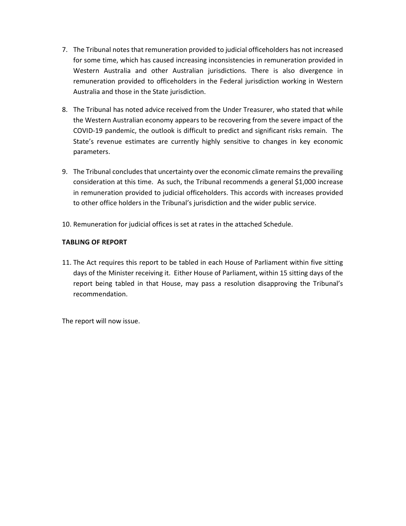- 7. The Tribunal notes that remuneration provided to judicial officeholders has not increased for some time, which has caused increasing inconsistencies in remuneration provided in Western Australia and other Australian jurisdictions. There is also divergence in remuneration provided to officeholders in the Federal jurisdiction working in Western Australia and those in the State jurisdiction.
- 8. The Tribunal has noted advice received from the Under Treasurer, who stated that while the Western Australian economy appears to be recovering from the severe impact of the COVID-19 pandemic, the outlook is difficult to predict and significant risks remain. The State's revenue estimates are currently highly sensitive to changes in key economic parameters.
- 9. The Tribunal concludes that uncertainty over the economic climate remains the prevailing consideration at this time. As such, the Tribunal recommends a general \$1,000 increase in remuneration provided to judicial officeholders. This accords with increases provided to other office holders in the Tribunal's jurisdiction and the wider public service.
- 10. Remuneration for judicial offices is set at rates in the attached Schedule.

### TABLING OF REPORT

11. The Act requires this report to be tabled in each House of Parliament within five sitting days of the Minister receiving it. Either House of Parliament, within 15 sitting days of the report being tabled in that House, may pass a resolution disapproving the Tribunal's recommendation.

The report will now issue.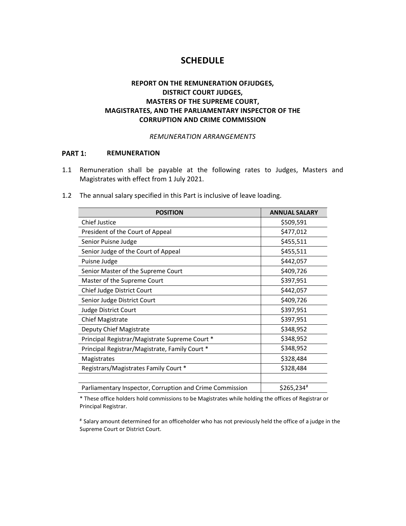## **SCHEDULE**

## REPORT ON THE REMUNERATION OFJUDGES, DISTRICT COURT JUDGES, MASTERS OF THE SUPREME COURT, MAGISTRATES, AND THE PARLIAMENTARY INSPECTOR OF THE CORRUPTION AND CRIME COMMISSION

### REMUNERATION ARRANGEMENTS

#### PART 1: REMUNERATION

1.1 Remuneration shall be payable at the following rates to Judges, Masters and Magistrates with effect from 1 July 2021.

| <b>POSITION</b>                                          | <b>ANNUAL SALARY</b>    |
|----------------------------------------------------------|-------------------------|
| <b>Chief Justice</b>                                     | \$509,591               |
| President of the Court of Appeal                         | \$477,012               |
| Senior Puisne Judge                                      | \$455,511               |
| Senior Judge of the Court of Appeal                      | \$455,511               |
| Puisne Judge                                             | \$442,057               |
| Senior Master of the Supreme Court                       | \$409,726               |
| Master of the Supreme Court                              | \$397,951               |
| Chief Judge District Court                               | \$442,057               |
| Senior Judge District Court                              | \$409,726               |
| Judge District Court                                     | \$397,951               |
| <b>Chief Magistrate</b>                                  | \$397,951               |
| Deputy Chief Magistrate                                  | \$348,952               |
| Principal Registrar/Magistrate Supreme Court *           | \$348,952               |
| Principal Registrar/Magistrate, Family Court *           | \$348,952               |
| Magistrates                                              | \$328,484               |
| Registrars/Magistrates Family Court *                    | \$328,484               |
|                                                          |                         |
| Parliamentary Inspector, Corruption and Crime Commission | $$265,234$ <sup>#</sup> |

1.2 The annual salary specified in this Part is inclusive of leave loading.

\* These office holders hold commissions to be Magistrates while holding the offices of Registrar or Principal Registrar.

# Salary amount determined for an officeholder who has not previously held the office of a judge in the Supreme Court or District Court.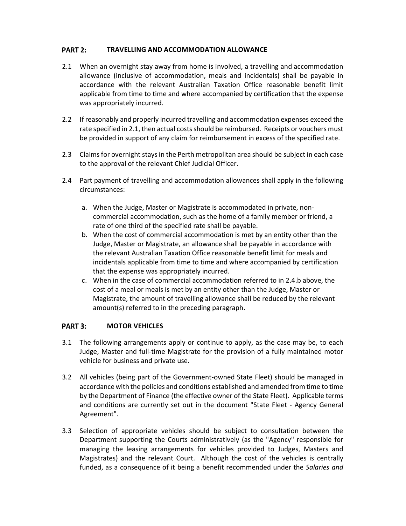#### PART 2: TRAVELLING AND ACCOMMODATION ALLOWANCE

- 2.1 When an overnight stay away from home is involved, a travelling and accommodation allowance (inclusive of accommodation, meals and incidentals) shall be payable in accordance with the relevant Australian Taxation Office reasonable benefit limit applicable from time to time and where accompanied by certification that the expense was appropriately incurred.
- 2.2 If reasonably and properly incurred travelling and accommodation expenses exceed the rate specified in 2.1, then actual costs should be reimbursed. Receipts or vouchers must be provided in support of any claim for reimbursement in excess of the specified rate.
- 2.3 Claims for overnight stays in the Perth metropolitan area should be subject in each case to the approval of the relevant Chief Judicial Officer.
- 2.4 Part payment of travelling and accommodation allowances shall apply in the following circumstances:
	- a. When the Judge, Master or Magistrate is accommodated in private, noncommercial accommodation, such as the home of a family member or friend, a rate of one third of the specified rate shall be payable.
	- b. When the cost of commercial accommodation is met by an entity other than the Judge, Master or Magistrate, an allowance shall be payable in accordance with the relevant Australian Taxation Office reasonable benefit limit for meals and incidentals applicable from time to time and where accompanied by certification that the expense was appropriately incurred.
	- c. When in the case of commercial accommodation referred to in 2.4.b above, the cost of a meal or meals is met by an entity other than the Judge, Master or Magistrate, the amount of travelling allowance shall be reduced by the relevant amount(s) referred to in the preceding paragraph.

#### PART 3: MOTOR VEHICLES

- 3.1 The following arrangements apply or continue to apply, as the case may be, to each Judge, Master and full-time Magistrate for the provision of a fully maintained motor vehicle for business and private use.
- 3.2 All vehicles (being part of the Government-owned State Fleet) should be managed in accordance with the policies and conditions established and amended from time to time by the Department of Finance (the effective owner of the State Fleet). Applicable terms and conditions are currently set out in the document "State Fleet - Agency General Agreement".
- 3.3 Selection of appropriate vehicles should be subject to consultation between the Department supporting the Courts administratively (as the "Agency" responsible for managing the leasing arrangements for vehicles provided to Judges, Masters and Magistrates) and the relevant Court. Although the cost of the vehicles is centrally funded, as a consequence of it being a benefit recommended under the Salaries and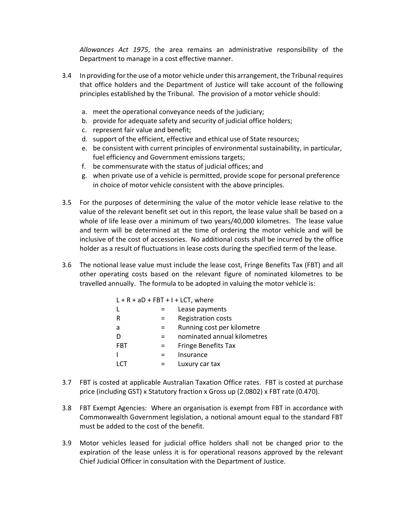Allowances Act 1975, the area remains an administrative responsibility of the Department to manage in a cost effective manner.

- 3.4 In providing for the use of a motor vehicle under this arrangement, the Tribunal requires that office holders and the Department of Justice will take account of the following principles established by the Tribunal. The provision of a motor vehicle should:
	- a. meet the operational conveyance needs of the judiciary;
	- b. provide for adequate safety and security of judicial office holders;
	- c. represent fair value and benefit;
	- d. support of the efficient, effective and ethical use of State resources;
	- e. be consistent with current principles of environmental sustainability, in particular, fuel efficiency and Government emissions targets;
	- f. be commensurate with the status of judicial offices; and
	- g. when private use of a vehicle is permitted, provide scope for personal preference in choice of motor vehicle consistent with the above principles.
- 3.5 For the purposes of determining the value of the motor vehicle lease relative to the value of the relevant benefit set out in this report, the lease value shall be based on a whole of life lease over a minimum of two years/40,000 kilometres. The lease value and term will be determined at the time of ordering the motor vehicle and will be inclusive of the cost of accessories. No additional costs shall be incurred by the office holder as a result of fluctuations in lease costs during the specified term of the lease.
- 3.6 The notional lease value must include the lease cost, Fringe Benefits Tax (FBT) and all other operating costs based on the relevant figure of nominated kilometres to be travelled annually. The formula to be adopted in valuing the motor vehicle is:

|     | $L + R + aD + FBT + I + LCT$ , where |
|-----|--------------------------------------|
|     | Lease payments                       |
|     | <b>Registration costs</b>            |
| $=$ | Running cost per kilometre           |
|     | nominated annual kilometres          |
| $=$ | <b>Fringe Benefits Tax</b>           |
|     | Insurance                            |
|     | Luxury car tax                       |
|     |                                      |

- 3.7 FBT is costed at applicable Australian Taxation Office rates. FBT is costed at purchase price (including GST) x Statutory fraction x Gross up (2.0802) x FBT rate (0.470).
- 3.8 FBT Exempt Agencies: Where an organisation is exempt from FBT in accordance with Commonwealth Government legislation, a notional amount equal to the standard FBT must be added to the cost of the benefit.
- 3.9 Motor vehicles leased for judicial office holders shall not be changed prior to the expiration of the lease unless it is for operational reasons approved by the relevant Chief Judicial Officer in consultation with the Department of Justice.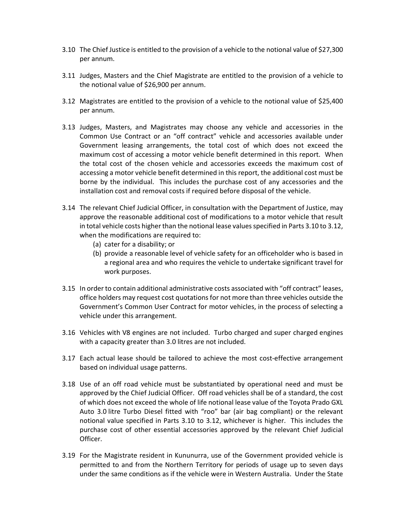- 3.10 The Chief Justice is entitled to the provision of a vehicle to the notional value of \$27,300 per annum.
- 3.11 Judges, Masters and the Chief Magistrate are entitled to the provision of a vehicle to the notional value of \$26,900 per annum.
- 3.12 Magistrates are entitled to the provision of a vehicle to the notional value of \$25,400 per annum.
- 3.13 Judges, Masters, and Magistrates may choose any vehicle and accessories in the Common Use Contract or an "off contract" vehicle and accessories available under Government leasing arrangements, the total cost of which does not exceed the maximum cost of accessing a motor vehicle benefit determined in this report. When the total cost of the chosen vehicle and accessories exceeds the maximum cost of accessing a motor vehicle benefit determined in this report, the additional cost must be borne by the individual. This includes the purchase cost of any accessories and the installation cost and removal costs if required before disposal of the vehicle.
- 3.14 The relevant Chief Judicial Officer, in consultation with the Department of Justice, may approve the reasonable additional cost of modifications to a motor vehicle that result in total vehicle costs higher than the notional lease values specified in Parts 3.10 to 3.12, when the modifications are required to:
	- (a) cater for a disability; or
	- (b) provide a reasonable level of vehicle safety for an officeholder who is based in a regional area and who requires the vehicle to undertake significant travel for work purposes.
- 3.15 In order to contain additional administrative costs associated with "off contract" leases, office holders may request cost quotations for not more than three vehicles outside the Government's Common User Contract for motor vehicles, in the process of selecting a vehicle under this arrangement.
- 3.16 Vehicles with V8 engines are not included. Turbo charged and super charged engines with a capacity greater than 3.0 litres are not included.
- 3.17 Each actual lease should be tailored to achieve the most cost-effective arrangement based on individual usage patterns.
- 3.18 Use of an off road vehicle must be substantiated by operational need and must be approved by the Chief Judicial Officer. Off road vehicles shall be of a standard, the cost of which does not exceed the whole of life notional lease value of the Toyota Prado GXL Auto 3.0 litre Turbo Diesel fitted with "roo" bar (air bag compliant) or the relevant notional value specified in Parts 3.10 to 3.12, whichever is higher. This includes the purchase cost of other essential accessories approved by the relevant Chief Judicial Officer.
- 3.19 For the Magistrate resident in Kununurra, use of the Government provided vehicle is permitted to and from the Northern Territory for periods of usage up to seven days under the same conditions as if the vehicle were in Western Australia. Under the State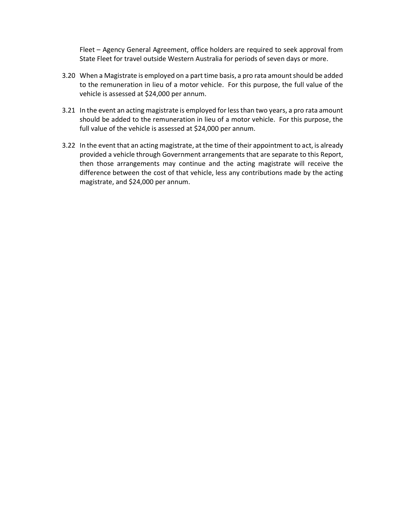Fleet – Agency General Agreement, office holders are required to seek approval from State Fleet for travel outside Western Australia for periods of seven days or more.

- 3.20 When a Magistrate is employed on a part time basis, a pro rata amount should be added to the remuneration in lieu of a motor vehicle. For this purpose, the full value of the vehicle is assessed at \$24,000 per annum.
- 3.21 In the event an acting magistrate is employed for less than two years, a pro rata amount should be added to the remuneration in lieu of a motor vehicle. For this purpose, the full value of the vehicle is assessed at \$24,000 per annum.
- 3.22 In the event that an acting magistrate, at the time of their appointment to act, is already provided a vehicle through Government arrangements that are separate to this Report, then those arrangements may continue and the acting magistrate will receive the difference between the cost of that vehicle, less any contributions made by the acting magistrate, and \$24,000 per annum.